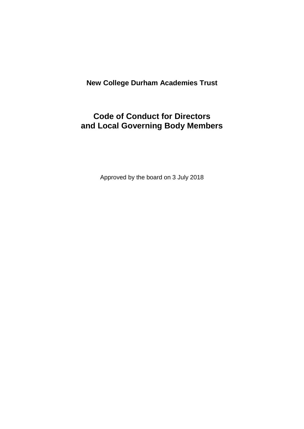# **New College Durham Academies Trust**

# **Code of Conduct for Directors and Local Governing Body Members**

Approved by the board on 3 July 2018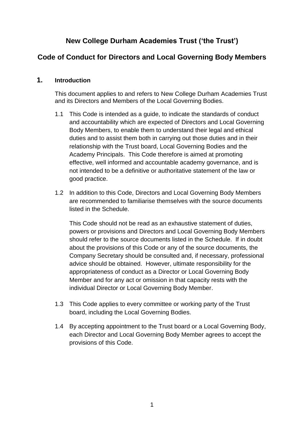## **New College Durham Academies Trust ('the Trust')**

## **Code of Conduct for Directors and Local Governing Body Members**

### **1. Introduction**

This document applies to and refers to New College Durham Academies Trust and its Directors and Members of the Local Governing Bodies.

- 1.1 This Code is intended as a guide, to indicate the standards of conduct and accountability which are expected of Directors and Local Governing Body Members, to enable them to understand their legal and ethical duties and to assist them both in carrying out those duties and in their relationship with the Trust board, Local Governing Bodies and the Academy Principals. This Code therefore is aimed at promoting effective, well informed and accountable academy governance, and is not intended to be a definitive or authoritative statement of the law or good practice.
- 1.2 In addition to this Code, Directors and Local Governing Body Members are recommended to familiarise themselves with the source documents listed in the Schedule.

This Code should not be read as an exhaustive statement of duties, powers or provisions and Directors and Local Governing Body Members should refer to the source documents listed in the Schedule. If in doubt about the provisions of this Code or any of the source documents, the Company Secretary should be consulted and, if necessary, professional advice should be obtained. However, ultimate responsibility for the appropriateness of conduct as a Director or Local Governing Body Member and for any act or omission in that capacity rests with the individual Director or Local Governing Body Member.

- 1.3 This Code applies to every committee or working party of the Trust board, including the Local Governing Bodies.
- 1.4 By accepting appointment to the Trust board or a Local Governing Body, each Director and Local Governing Body Member agrees to accept the provisions of this Code.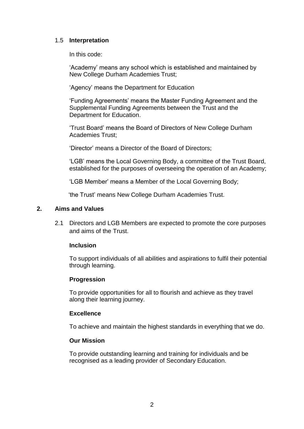### 1.5 **Interpretation**

In this code:

'Academy' means any school which is established and maintained by New College Durham Academies Trust;

'Agency' means the Department for Education

'Funding Agreements' means the Master Funding Agreement and the Supplemental Funding Agreements between the Trust and the Department for Education.

'Trust Board' means the Board of Directors of New College Durham Academies Trust;

'Director' means a Director of the Board of Directors;

'LGB' means the Local Governing Body, a committee of the Trust Board, established for the purposes of overseeing the operation of an Academy;

'LGB Member' means a Member of the Local Governing Body;

'the Trust' means New College Durham Academies Trust.

#### **2. Aims and Values**

2.1 Directors and LGB Members are expected to promote the core purposes and aims of the Trust.

#### **Inclusion**

To support individuals of all abilities and aspirations to fulfil their potential through learning.

#### **Progression**

To provide opportunities for all to flourish and achieve as they travel along their learning journey.

#### **Excellence**

To achieve and maintain the highest standards in everything that we do.

#### **Our Mission**

To provide outstanding learning and training for individuals and be recognised as a leading provider of Secondary Education.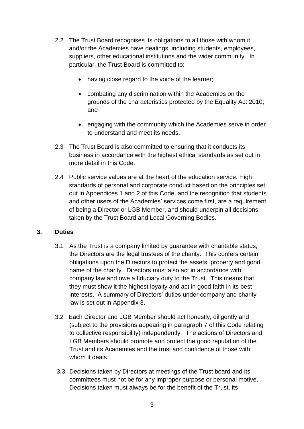- 2.2 The Trust Board recognises its obligations to all those with whom it and/or the Academies have dealings, including students, employees, suppliers, other educational institutions and the wider community. In particular, the Trust Board is committed to:
	- having close regard to the voice of the learner;
	- combating any discrimination within the Academies on the grounds of the characteristics protected by the Equality Act 2010; and
	- engaging with the community which the Academies serve in order to understand and meet its needs.
- 2.3 The Trust Board is also committed to ensuring that it conducts its business in accordance with the highest ethical standards as set out in more detail in this Code.
- 2.4 Public service values are at the heart of the education service. High standards of personal and corporate conduct based on the principles set out in Appendices 1 and 2 of this Code, and the recognition that students and other users of the Academies' services come first, are a requirement of being a Director or LGB Member, and should underpin all decisions taken by the Trust Board and Local Governing Bodies.

### **3. Duties**

- 3.1 As the Trust is a company limited by guarantee with charitable status, the Directors are the legal trustees of the charity. This confers certain obligations upon the Directors to protect the assets, property and good name of the charity. Directors must also act in accordance with company law and owe a fiduciary duty to the Trust. This means that they must show it the highest loyalty and act in good faith in its best interests. A summary of Directors' duties under company and charity law is set out in Appendix 3.
- 3.2 Each Director and LGB Member should act honestly, diligently and (subject to the provisions appearing in paragraph 7 of this Code relating to collective responsibility) independently. The actions of Directors and LGB Members should promote and protect the good reputation of the Trust and its Academies and the trust and confidence of those with whom it deals.
- 3.3 Decisions taken by Directors at meetings of the Trust board and its committees must not be for any improper purpose or personal motive. Decisions taken must always be for the benefit of the Trust, its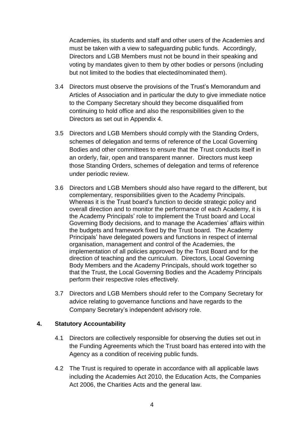Academies, its students and staff and other users of the Academies and must be taken with a view to safeguarding public funds. Accordingly, Directors and LGB Members must not be bound in their speaking and voting by mandates given to them by other bodies or persons (including but not limited to the bodies that elected/nominated them).

- 3.4 Directors must observe the provisions of the Trust's Memorandum and Articles of Association and in particular the duty to give immediate notice to the Company Secretary should they become disqualified from continuing to hold office and also the responsibilities given to the Directors as set out in Appendix 4.
- 3.5 Directors and LGB Members should comply with the Standing Orders, schemes of delegation and terms of reference of the Local Governing Bodies and other committees to ensure that the Trust conducts itself in an orderly, fair, open and transparent manner. Directors must keep those Standing Orders, schemes of delegation and terms of reference under periodic review.
- 3.6 Directors and LGB Members should also have regard to the different, but complementary, responsibilities given to the Academy Principals. Whereas it is the Trust board's function to decide strategic policy and overall direction and to monitor the performance of each Academy, it is the Academy Principals' role to implement the Trust board and Local Governing Body decisions, and to manage the Academies' affairs within the budgets and framework fixed by the Trust board. The Academy Principals' have delegated powers and functions in respect of internal organisation, management and control of the Academies, the implementation of all policies approved by the Trust Board and for the direction of teaching and the curriculum. Directors, Local Governing Body Members and the Academy Principals, should work together so that the Trust, the Local Governing Bodies and the Academy Principals perform their respective roles effectively.
- 3.7 Directors and LGB Members should refer to the Company Secretary for advice relating to governance functions and have regards to the Company Secretary's independent advisory role.

#### **4. Statutory Accountability**

- 4.1 Directors are collectively responsible for observing the duties set out in the Funding Agreements which the Trust board has entered into with the Agency as a condition of receiving public funds.
- 4.2 The Trust is required to operate in accordance with all applicable laws including the Academies Act 2010, the Education Acts, the Companies Act 2006, the Charities Acts and the general law.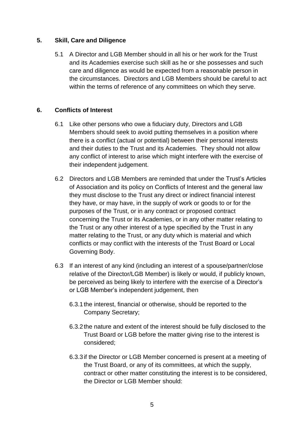### **5. Skill, Care and Diligence**

5.1 A Director and LGB Member should in all his or her work for the Trust and its Academies exercise such skill as he or she possesses and such care and diligence as would be expected from a reasonable person in the circumstances. Directors and LGB Members should be careful to act within the terms of reference of any committees on which they serve.

### **6. Conflicts of Interest**

- 6.1 Like other persons who owe a fiduciary duty, Directors and LGB Members should seek to avoid putting themselves in a position where there is a conflict (actual or potential) between their personal interests and their duties to the Trust and its Academies. They should not allow any conflict of interest to arise which might interfere with the exercise of their independent judgement.
- 6.2 Directors and LGB Members are reminded that under the Trust's Articles of Association and its policy on Conflicts of Interest and the general law they must disclose to the Trust any direct or indirect financial interest they have, or may have, in the supply of work or goods to or for the purposes of the Trust, or in any contract or proposed contract concerning the Trust or its Academies, or in any other matter relating to the Trust or any other interest of a type specified by the Trust in any matter relating to the Trust, or any duty which is material and which conflicts or may conflict with the interests of the Trust Board or Local Governing Body.
- 6.3 If an interest of any kind (including an interest of a spouse/partner/close relative of the Director/LGB Member) is likely or would, if publicly known, be perceived as being likely to interfere with the exercise of a Director's or LGB Member's independent judgement, then
	- 6.3.1the interest, financial or otherwise, should be reported to the Company Secretary;
	- 6.3.2the nature and extent of the interest should be fully disclosed to the Trust Board or LGB before the matter giving rise to the interest is considered;
	- 6.3.3if the Director or LGB Member concerned is present at a meeting of the Trust Board, or any of its committees, at which the supply, contract or other matter constituting the interest is to be considered, the Director or LGB Member should: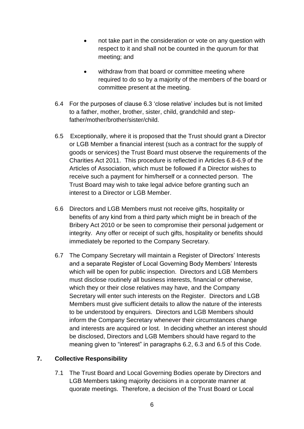- not take part in the consideration or vote on any question with respect to it and shall not be counted in the quorum for that meeting; and
- withdraw from that board or committee meeting where required to do so by a majority of the members of the board or committee present at the meeting.
- 6.4 For the purposes of clause 6.3 'close relative' includes but is not limited to a father, mother, brother, sister, child, grandchild and stepfather/mother/brother/sister/child.
- 6.5 Exceptionally, where it is proposed that the Trust should grant a Director or LGB Member a financial interest (such as a contract for the supply of goods or services) the Trust Board must observe the requirements of the Charities Act 2011. This procedure is reflected in Articles 6.8-6.9 of the Articles of Association, which must be followed if a Director wishes to receive such a payment for him/herself or a connected person. The Trust Board may wish to take legal advice before granting such an interest to a Director or LGB Member.
- 6.6 Directors and LGB Members must not receive gifts, hospitality or benefits of any kind from a third party which might be in breach of the Bribery Act 2010 or be seen to compromise their personal judgement or integrity. Any offer or receipt of such gifts, hospitality or benefits should immediately be reported to the Company Secretary.
- 6.7 The Company Secretary will maintain a Register of Directors' Interests and a separate Register of Local Governing Body Members' Interests which will be open for public inspection. Directors and LGB Members must disclose routinely all business interests, financial or otherwise, which they or their close relatives may have, and the Company Secretary will enter such interests on the Register. Directors and LGB Members must give sufficient details to allow the nature of the interests to be understood by enquirers. Directors and LGB Members should inform the Company Secretary whenever their circumstances change and interests are acquired or lost. In deciding whether an interest should be disclosed, Directors and LGB Members should have regard to the meaning given to "interest" in paragraphs 6.2, 6.3 and 6.5 of this Code.

### **7. Collective Responsibility**

7.1 The Trust Board and Local Governing Bodies operate by Directors and LGB Members taking majority decisions in a corporate manner at quorate meetings. Therefore, a decision of the Trust Board or Local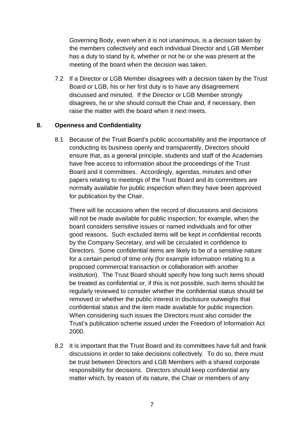Governing Body, even when it is not unanimous, is a decision taken by the members collectively and each individual Director and LGB Member has a duty to stand by it, whether or not he or she was present at the meeting of the board when the decision was taken.

7.2 If a Director or LGB Member disagrees with a decision taken by the Trust Board or LGB, his or her first duty is to have any disagreement discussed and minuted. If the Director or LGB Member strongly disagrees, he or she should consult the Chair and, if necessary, then raise the matter with the board when it next meets.

### **8. Openness and Confidentiality**

8.1 Because of the Trust Board's public accountability and the importance of conducting its business openly and transparently, Directors should ensure that, as a general principle, students and staff of the Academies have free access to information about the proceedings of the Trust Board and it committees. Accordingly, agendas, minutes and other papers relating to meetings of the Trust Board and its committees are normally available for public inspection when they have been approved for publication by the Chair.

There will be occasions when the record of discussions and decisions will not be made available for public inspection; for example, when the board considers sensitive issues or named individuals and for other good reasons. Such excluded items will be kept in confidential records by the Company Secretary, and will be circulated in confidence to Directors. Some confidential items are likely to be of a sensitive nature for a certain period of time only (for example information relating to a proposed commercial transaction or collaboration with another institution). The Trust Board should specify how long such items should be treated as confidential or, if this is not possible, such items should be regularly reviewed to consider whether the confidential status should be removed or whether the public interest in disclosure outweighs that confidential status and the item made available for public inspection. When considering such issues the Directors must also consider the Trust's publication scheme issued under the Freedom of Information Act 2000.

8.2 It is important that the Trust Board and its committees have full and frank discussions in order to take decisions collectively. To do so, there must be trust between Directors and LGB Members with a shared corporate responsibility for decisions. Directors should keep confidential any matter which, by reason of its nature, the Chair or members of any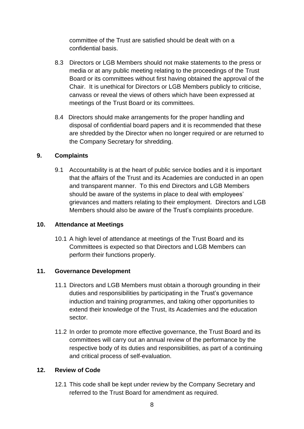committee of the Trust are satisfied should be dealt with on a confidential basis.

- 8.3 Directors or LGB Members should not make statements to the press or media or at any public meeting relating to the proceedings of the Trust Board or its committees without first having obtained the approval of the Chair. It is unethical for Directors or LGB Members publicly to criticise, canvass or reveal the views of others which have been expressed at meetings of the Trust Board or its committees.
- 8.4 Directors should make arrangements for the proper handling and disposal of confidential board papers and it is recommended that these are shredded by the Director when no longer required or are returned to the Company Secretary for shredding.

### **9. Complaints**

9.1 Accountability is at the heart of public service bodies and it is important that the affairs of the Trust and its Academies are conducted in an open and transparent manner. To this end Directors and LGB Members should be aware of the systems in place to deal with employees' grievances and matters relating to their employment. Directors and LGB Members should also be aware of the Trust's complaints procedure.

### **10. Attendance at Meetings**

10.1 A high level of attendance at meetings of the Trust Board and its Committees is expected so that Directors and LGB Members can perform their functions properly.

### **11. Governance Development**

- 11.1 Directors and LGB Members must obtain a thorough grounding in their duties and responsibilities by participating in the Trust's governance induction and training programmes, and taking other opportunities to extend their knowledge of the Trust, its Academies and the education sector.
- 11.2 In order to promote more effective governance, the Trust Board and its committees will carry out an annual review of the performance by the respective body of its duties and responsibilities, as part of a continuing and critical process of self-evaluation.

### **12. Review of Code**

12.1 This code shall be kept under review by the Company Secretary and referred to the Trust Board for amendment as required.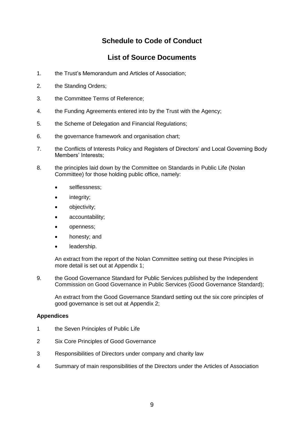## **Schedule to Code of Conduct**

## **List of Source Documents**

- 1. the Trust's Memorandum and Articles of Association;
- 2. the Standing Orders;
- 3. the Committee Terms of Reference;
- 4. the Funding Agreements entered into by the Trust with the Agency;
- 5. the Scheme of Delegation and Financial Regulations;
- 6. the governance framework and organisation chart;
- 7. the Conflicts of Interests Policy and Registers of Directors' and Local Governing Body Members' Interests;
- 8. the principles laid down by the Committee on Standards in Public Life (Nolan Committee) for those holding public office, namely:
	- selflessness;
	- integrity;
	- objectivity;
	- accountability;
	- openness;
	- honesty; and
	- leadership.

An extract from the report of the Nolan Committee setting out these Principles in more detail is set out at Appendix 1;

9. the Good Governance Standard for Public Services published by the Independent Commission on Good Governance in Public Services (Good Governance Standard);

An extract from the Good Governance Standard setting out the six core principles of good governance is set out at Appendix 2;

#### **Appendices**

- 1 the Seven Principles of Public Life
- 2 Six Core Principles of Good Governance
- 3 Responsibilities of Directors under company and charity law
- 4 Summary of main responsibilities of the Directors under the Articles of Association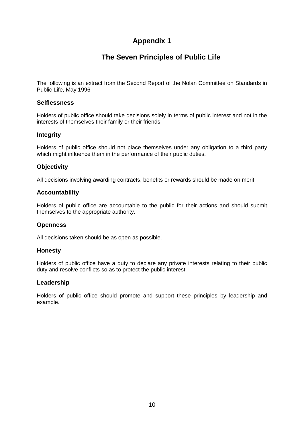## **The Seven Principles of Public Life**

The following is an extract from the Second Report of the Nolan Committee on Standards in Public Life, May 1996

#### **Selflessness**

Holders of public office should take decisions solely in terms of public interest and not in the interests of themselves their family or their friends.

#### **Integrity**

Holders of public office should not place themselves under any obligation to a third party which might influence them in the performance of their public duties.

#### **Objectivity**

All decisions involving awarding contracts, benefits or rewards should be made on merit.

#### **Accountability**

Holders of public office are accountable to the public for their actions and should submit themselves to the appropriate authority.

#### **Openness**

All decisions taken should be as open as possible.

#### **Honesty**

Holders of public office have a duty to declare any private interests relating to their public duty and resolve conflicts so as to protect the public interest.

#### **Leadership**

Holders of public office should promote and support these principles by leadership and example.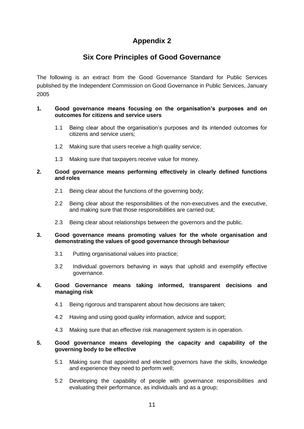## **Six Core Principles of Good Governance**

The following is an extract from the Good Governance Standard for Public Services published by the Independent Commission on Good Governance in Public Services, January 2005

#### **1. Good governance means focusing on the organisation's purposes and on outcomes for citizens and service users**

- 1.1 Being clear about the organisation's purposes and its intended outcomes for citizens and service users;
- 1.2 Making sure that users receive a high quality service;
- 1.3 Making sure that taxpayers receive value for money.

#### **2. Good governance means performing effectively in clearly defined functions and roles**

- 2.1 Being clear about the functions of the governing body;
- 2.2 Being clear about the responsibilities of the non-executives and the executive, and making sure that those responsibilities are carried out;
- 2.3 Being clear about relationships between the governors and the public.

#### **3. Good governance means promoting values for the whole organisation and demonstrating the values of good governance through behaviour**

- 3.1 Putting organisational values into practice;
- 3.2 Individual governors behaving in ways that uphold and exemplify effective governance.

#### **4. Good Governance means taking informed, transparent decisions and managing risk**

- 4.1 Being rigorous and transparent about how decisions are taken;
- 4.2 Having and using good quality information, advice and support;
- 4.3 Making sure that an effective risk management system is in operation.

#### **5. Good governance means developing the capacity and capability of the governing body to be effective**

- 5.1 Making sure that appointed and elected governors have the skills, knowledge and experience they need to perform well;
- 5.2 Developing the capability of people with governance responsibilities and evaluating their performance, as individuals and as a group;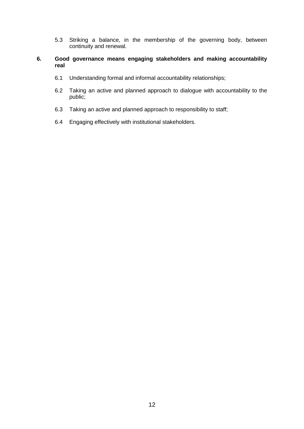5.3 Striking a balance, in the membership of the governing body, between continuity and renewal.

#### **6. Good governance means engaging stakeholders and making accountability real**

- 6.1 Understanding formal and informal accountability relationships;
- 6.2 Taking an active and planned approach to dialogue with accountability to the public;
- 6.3 Taking an active and planned approach to responsibility to staff;
- 6.4 Engaging effectively with institutional stakeholders.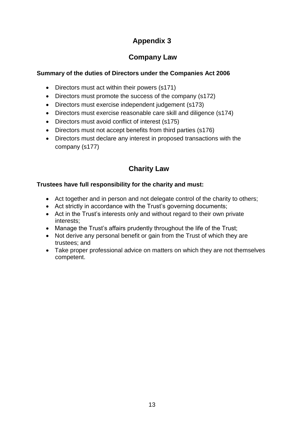# **Company Law**

## **Summary of the duties of Directors under the Companies Act 2006**

- Directors must act within their powers (s171)
- Directors must promote the success of the company (s172)
- Directors must exercise independent judgement (s173)
- Directors must exercise reasonable care skill and diligence (s174)
- Directors must avoid conflict of interest (s175)
- Directors must not accept benefits from third parties (s176)
- Directors must declare any interest in proposed transactions with the company (s177)

# **Charity Law**

## **Trustees have full responsibility for the charity and must:**

- Act together and in person and not delegate control of the charity to others;
- Act strictly in accordance with the Trust's governing documents;
- Act in the Trust's interests only and without regard to their own private interests;
- Manage the Trust's affairs prudently throughout the life of the Trust;
- Not derive any personal benefit or gain from the Trust of which they are trustees; and
- Take proper professional advice on matters on which they are not themselves competent.